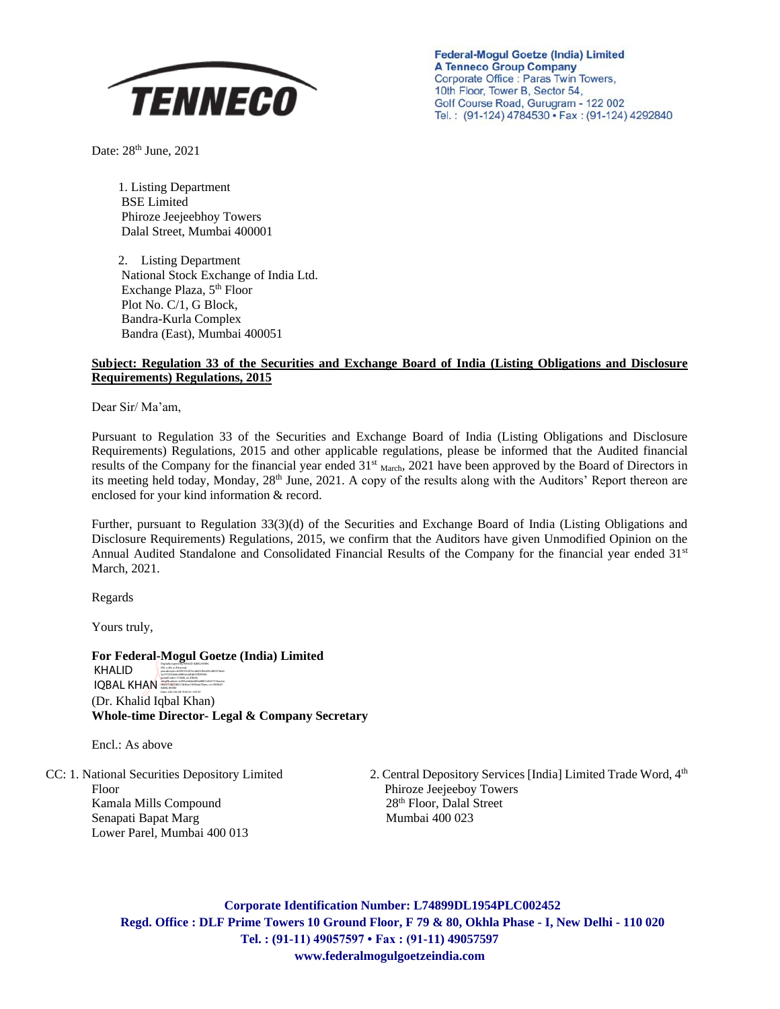

**Federal-Mogul Goetze (India) Limited A Tenneco Group Company** Corporate Office : Paras Twin Towers, 10th Floor, Tower B, Sector 54, Golf Course Road, Gurugram - 122 002 Tel.: (91-124) 4784530 · Fax: (91-124) 4292840

Date: 28<sup>th</sup> June, 2021

1. Listing Department BSE Limited Phiroze Jeejeebhoy Towers Dalal Street, Mumbai 400001

2. Listing Department National Stock Exchange of India Ltd. Exchange Plaza, 5<sup>th</sup> Floor Plot No. C/1, G Block, Bandra-Kurla Complex Bandra (East), Mumbai 400051

### **Subject: Regulation 33 of the Securities and Exchange Board of India (Listing Obligations and Disclosure Requirements) Regulations, 2015**

Dear Sir/ Ma'am,

Pursuant to Regulation 33 of the Securities and Exchange Board of India (Listing Obligations and Disclosure Requirements) Regulations, 2015 and other applicable regulations, please be informed that the Audited financial results of the Company for the financial year ended 31<sup>st</sup> March, 2021 have been approved by the Board of Directors in its meeting held today, Monday, 28<sup>th</sup> June, 2021. A copy of the results along with the Auditors' Report thereon are enclosed for your kind information & record.

Further, pursuant to Regulation 33(3)(d) of the Securities and Exchange Board of India (Listing Obligations and Disclosure Requirements) Regulations, 2015, we confirm that the Auditors have given Unmodified Opinion on the Annual Audited Standalone and Consolidated Financial Results of the Company for the financial year ended 31<sup>st</sup> March, 2021.

Regards

Yours truly,

**For Federal-Mogul Goetze (India) Limited** (Dr. Khalid Iqbal Khan) **Whole-time Director- Legal & Company Secretary** KHALID IQBAL KHAN<br>Postalcode 11006, stephen best and the series of the series of the series of the series of the series of the series of the series of the series of the series of the series of the series of the series of the seri Digitally signed by KHALID IQBAL KHAN DN: c=IN, o=Personal, pseudonym=d500725207ecdd367b2a95c280973da0 5a19730644dcd980cb2dfd635ff29969,

Encl.: As above

Floor Phiroze Jeejeeboy Towers Kamala Mills Compound 28<sup>th</sup> Floor, Dalal Street Senapati Bapat Marg Mumbai 400 023 Lower Parel, Mumbai 400 013

CC: 1. National Securities Depository Limited 2. Central Depository Services [India] Limited Trade Word, 4<sup>th</sup>

**Corporate Identification Number: L74899DL1954PLC002452 Regd. Office : DLF Prime Towers 10 Ground Floor, F 79 & 80, Okhla Phase - I, New Delhi - 110 020 Tel. : (91-11) 49057597 • Fax : (91-11) 49057597 www.federalmogulgoetzeindia.com**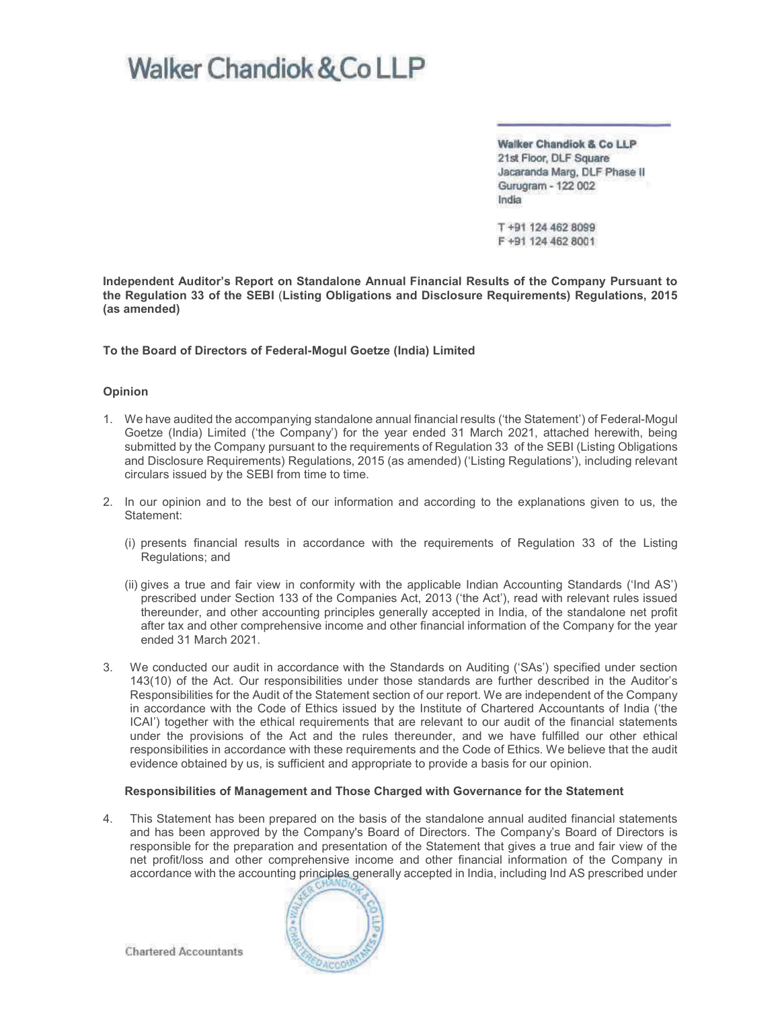Walker Chandiok & Co LLP 21st Floor, DLF Square Jacaranda Marg, DLF Phase II Gurugram - 122 002 India

T +91 124 462 8099 F +91 124 462 8001

Independent Auditor's Report on Standalone Annual Financial Results of the Company Pursuant to the Regulation 33 of the SEBI (Listing Obligations and Disclosure Requirements) Regulations, 2015 (as amended)

To the Board of Directors of Federal-Mogul Goetze (India) Limited

#### Opinion

- 1. We have audited the accompanying standalone annual financial results ('the Statement') of Federal-Mogul Goetze (India) Limited ('the Company') for the year ended 31 March 2021, attached herewith, being submitted by the Company pursuant to the requirements of Regulation 33 of the SEBI (Listing Obligations and Disclosure Requirements) Regulations, 2015 (as amended) ('Listing Regulations'), including relevant circulars issued by the SEBI from time to time.
- 2. In our opinion and to the best of our information and according to the explanations given to us, the Statement:
	- (i) presents financial results in accordance with the requirements of Regulation 33 of the Listing Regulations; and
	- (ii) gives a true and fair view in conformity with the applicable Indian Accounting Standards ('Ind AS') prescribed under Section 133 of the Companies Act, 2013 ('the Act'), read with relevant rules issued thereunder, and other accounting principles generally accepted in India, of the standalone net profit after tax and other comprehensive income and other financial information of the Company for the year ended 31 March 2021.
- 3. We conducted our audit in accordance with the Standards on Auditing ('SAs') specified under section 143(10) of the Act. Our responsibilities under those standards are further described in the Auditor's Responsibilities for the Audit of the Statement section of our report. We are independent of the Company in accordance with the Code of Ethics issued by the Institute of Chartered Accountants of India ('the ICAI') together with the ethical requirements that are relevant to our audit of the financial statements under the provisions of the Act and the rules thereunder, and we have fulfilled our other ethical responsibilities in accordance with these requirements and the Code of Ethics. We believe that the audit evidence obtained by us, is sufficient and appropriate to provide a basis for our opinion.

#### Responsibilities of Management and Those Charged with Governance for the Statement

4. This Statement has been prepared on the basis of the standalone annual audited financial statements and has been approved by the Company's Board of Directors. The Company's Board of Directors is responsible for the preparation and presentation of the Statement that gives a true and fair view of the net profit/loss and other comprehensive income and other financial information of the Company in accordance with the accounting principles generally accepted in India, including Ind AS prescribed under

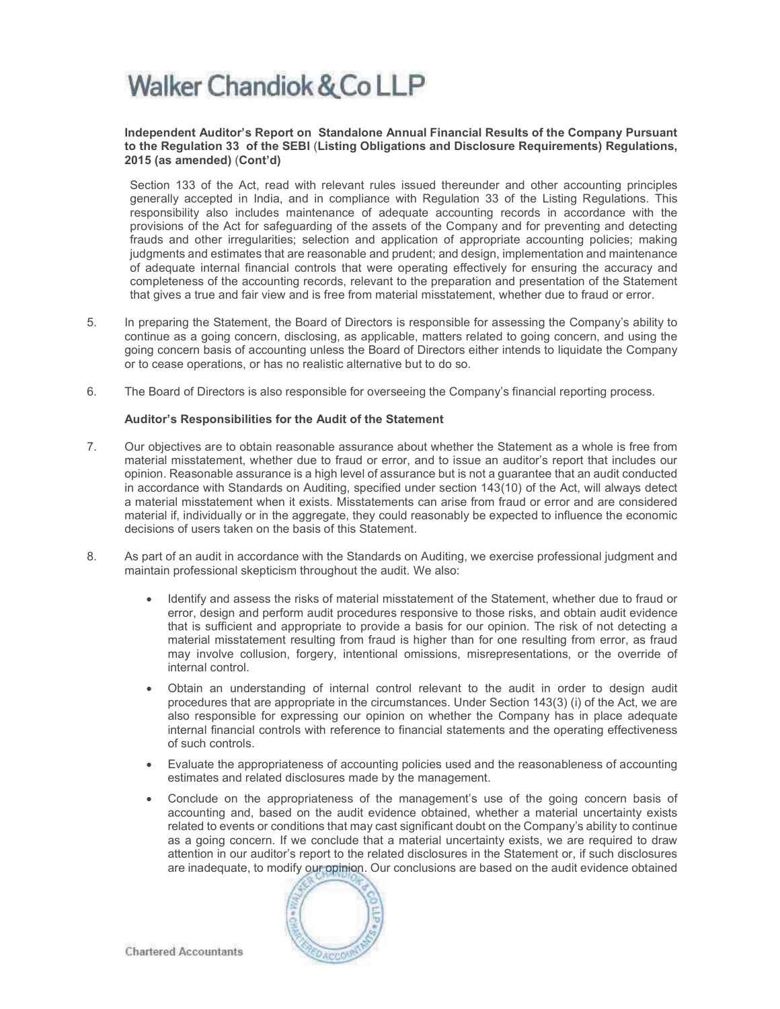#### Independent Auditor's Report on Standalone Annual Financial Results of the Company Pursuant to the Regulation 33 of the SEBI (Listing Obligations and Disclosure Requirements) Regulations, 2015 (as amended) (Cont'd)

Section 133 of the Act, read with relevant rules issued thereunder and other accounting principles generally accepted in India, and in compliance with Regulation 33 of the Listing Regulations. This responsibility also includes maintenance of adequate accounting records in accordance with the provisions of the Act for safeguarding of the assets of the Company and for preventing and detecting frauds and other irregularities; selection and application of appropriate accounting policies; making judgments and estimates that are reasonable and prudent; and design, implementation and maintenance of adequate internal financial controls that were operating effectively for ensuring the accuracy and completeness of the accounting records, relevant to the preparation and presentation of the Statement that gives a true and fair view and is free from material misstatement, whether due to fraud or error.

- 5. In preparing the Statement, the Board of Directors is responsible for assessing the Company's ability to continue as a going concern, disclosing, as applicable, matters related to going concern, and using the going concern basis of accounting unless the Board of Directors either intends to liquidate the Company or to cease operations, or has no realistic alternative but to do so.
- 6. The Board of Directors is also responsible for overseeing the Company's financial reporting process.

#### Auditor's Responsibilities for the Audit of the Statement

- 7. Our objectives are to obtain reasonable assurance about whether the Statement as a whole is free from material misstatement, whether due to fraud or error, and to issue an auditor's report that includes our opinion. Reasonable assurance is a high level of assurance but is not a guarantee that an audit conducted in accordance with Standards on Auditing, specified under section 143(10) of the Act, will always detect a material misstatement when it exists. Misstatements can arise from fraud or error and are considered material if, individually or in the aggregate, they could reasonably be expected to influence the economic decisions of users taken on the basis of this Statement.
- 8. As part of an audit in accordance with the Standards on Auditing, we exercise professional judgment and maintain professional skepticism throughout the audit. We also:
	- · Identify and assess the risks of material misstatement of the Statement, whether due to fraud or error, design and perform audit procedures responsive to those risks, and obtain audit evidence that is sufficient and appropriate to provide a basis for our opinion. The risk of not detecting a material misstatement resulting from fraud is higher than for one resulting from error, as fraud may involve collusion, forgery, intentional omissions, misrepresentations, or the override of internal control.
	- · Obtain an understanding of internal control relevant to the audit in order to design audit procedures that are appropriate in the circumstances. Under Section 143(3) (i) of the Act, we are also responsible for expressing our opinion on whether the Company has in place adequate internal financial controls with reference to financial statements and the operating effectiveness of such controls.
	- · Evaluate the appropriateness of accounting policies used and the reasonableness of accounting estimates and related disclosures made by the management.
	- Conclude on the appropriateness of the management's use of the going concern basis of accounting and, based on the audit evidence obtained, whether a material uncertainty exists related to events or conditions that may cast significant doubt on the Company's ability to continue as a going concern. If we conclude that a material uncertainty exists, we are required to draw attention in our auditor's report to the related disclosures in the Statement or, if such disclosures are inadequate, to modify our opinion. Our conclusions are based on the audit evidence obtained

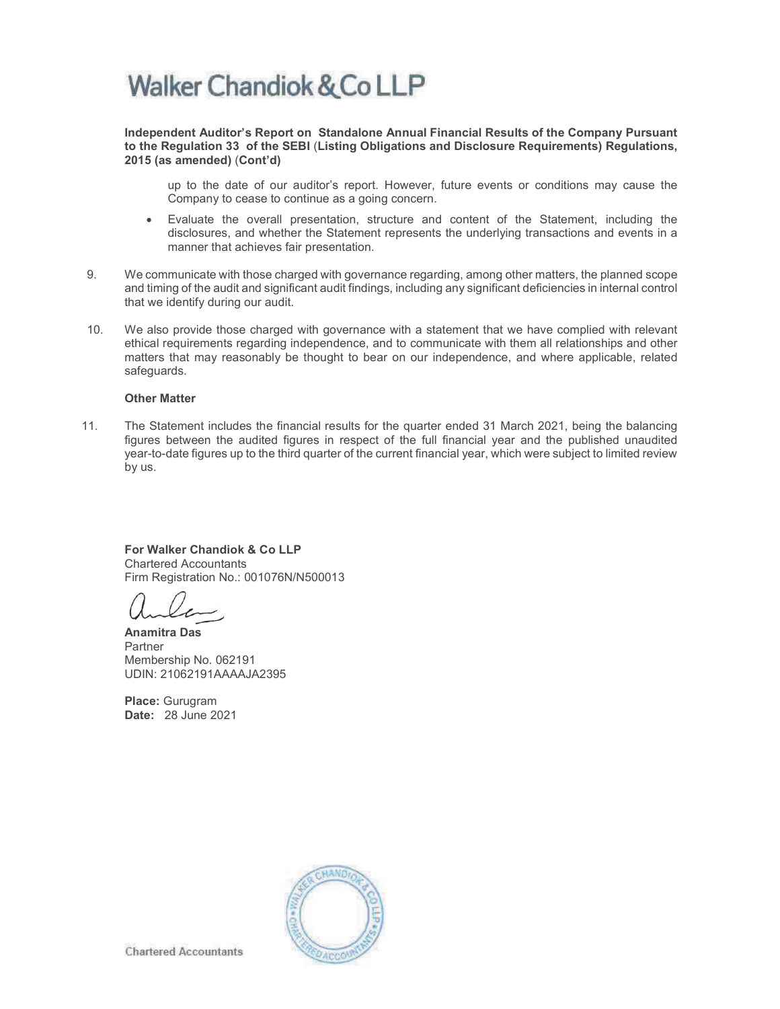Independent Auditor's Report on Standalone Annual Financial Results of the Company Pursuant to the Regulation 33 of the SEBI (Listing Obligations and Disclosure Requirements) Regulations, 2015 (as amended) (Cont'd)

up to the date of our auditor's report. However, future events or conditions may cause the Company to cease to continue as a going concern.

- · Evaluate the overall presentation, structure and content of the Statement, including the disclosures, and whether the Statement represents the underlying transactions and events in a manner that achieves fair presentation.
- 9. We communicate with those charged with governance regarding, among other matters, the planned scope and timing of the audit and significant audit findings, including any significant deficiencies in internal control that we identify during our audit.
- 10. We also provide those charged with governance with a statement that we have complied with relevant ethical requirements regarding independence, and to communicate with them all relationships and other matters that may reasonably be thought to bear on our independence, and where applicable, related safeguards.

#### Other Matter

11. The Statement includes the financial results for the quarter ended 31 March 2021, being the balancing figures between the audited figures in respect of the full financial year and the published unaudited year-to-date figures up to the third quarter of the current financial year, which were subject to limited review by us.

For Walker Chandiok & Co LLP Chartered Accountants Firm Registration No.: 001076N/N500013

Anamitra Das Partner Membership No. 062191 UDIN: 21062191AAAAJA2395

Place: Gurugram Date: 28 June 2021

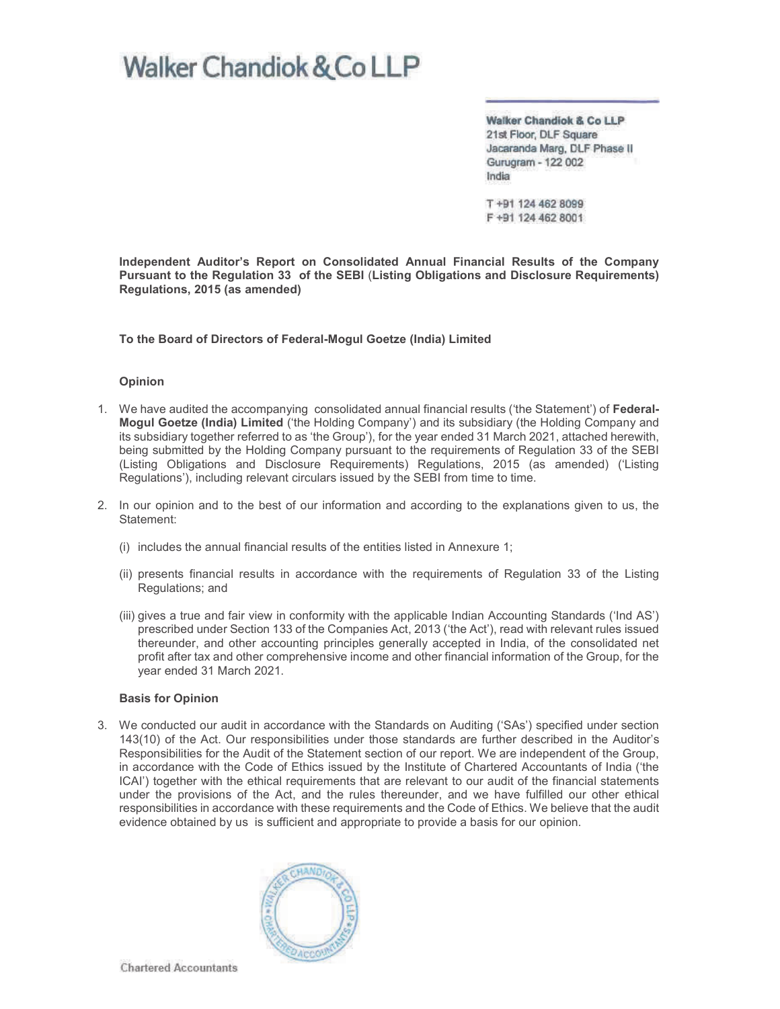Walker Chandiok & Co LLP 21st Floor, DLF Square Jacaranda Marg, DLF Phase II Gurugram - 122 002 India

T+91 124 462 8099 F +91 124 462 8001

Independent Auditor's Report on Consolidated Annual Financial Results of the Company Pursuant to the Regulation 33 of the SEBI (Listing Obligations and Disclosure Requirements) Regulations, 2015 (as amended)

To the Board of Directors of Federal-Mogul Goetze (India) Limited

#### Opinion

- 1. We have audited the accompanying consolidated annual financial results ('the Statement') of Federal-Mogul Goetze (India) Limited ('the Holding Company') and its subsidiary (the Holding Company and its subsidiary together referred to as 'the Group'), for the year ended 31 March 2021, attached herewith, being submitted by the Holding Company pursuant to the requirements of Regulation 33 of the SEBI (Listing Obligations and Disclosure Requirements) Regulations, 2015 (as amended) ('Listing Regulations'), including relevant circulars issued by the SEBI from time to time.
- 2. In our opinion and to the best of our information and according to the explanations given to us, the Statement:
	- (i) includes the annual financial results of the entities listed in Annexure 1;
	- (ii) presents financial results in accordance with the requirements of Regulation 33 of the Listing Regulations; and
	- (iii) gives a true and fair view in conformity with the applicable Indian Accounting Standards ('Ind AS') prescribed under Section 133 of the Companies Act, 2013 ('the Act'), read with relevant rules issued thereunder, and other accounting principles generally accepted in India, of the consolidated net profit after tax and other comprehensive income and other financial information of the Group, for the year ended 31 March 2021.

#### Basis for Opinion

3. We conducted our audit in accordance with the Standards on Auditing ('SAs') specified under section 143(10) of the Act. Our responsibilities under those standards are further described in the Auditor's Responsibilities for the Audit of the Statement section of our report. We are independent of the Group, in accordance with the Code of Ethics issued by the Institute of Chartered Accountants of India ('the ICAI') together with the ethical requirements that are relevant to our audit of the financial statements under the provisions of the Act, and the rules thereunder, and we have fulfilled our other ethical responsibilities in accordance with these requirements and the Code of Ethics. We believe that the audit evidence obtained by us is sufficient and appropriate to provide a basis for our opinion.



**Chartered Accountants**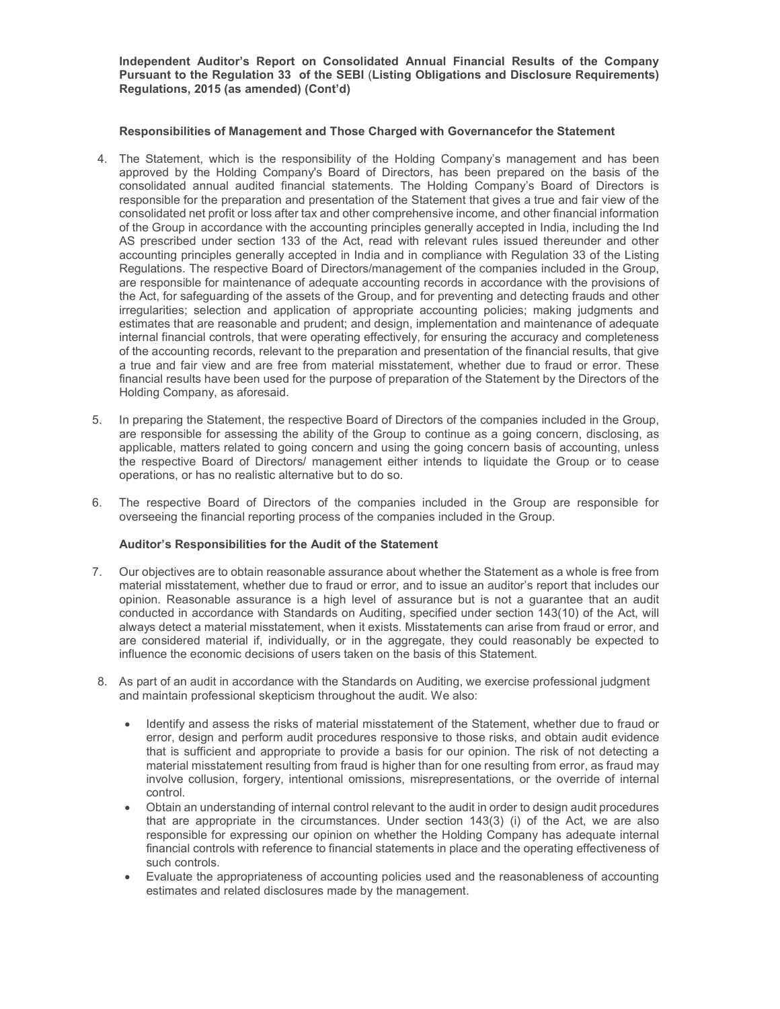Independent Auditor's Report on Consolidated Annual Financial Results of the Company Pursuant to the Regulation 33 of the SEBI (Listing Obligations and Disclosure Requirements) Regulations, 2015 (as amended) (Cont'd)

#### Responsibilities of Management and Those Charged with Governancefor the Statement

- 4. The Statement, which is the responsibility of the Holding Company's management and has been approved by the Holding Company's Board of Directors, has been prepared on the basis of the consolidated annual audited financial statements. The Holding Company's Board of Directors is responsible for the preparation and presentation of the Statement that gives a true and fair view of the consolidated net profit or loss after tax and other comprehensive income, and other financial information of the Group in accordance with the accounting principles generally accepted in India, including the Ind AS prescribed under section 133 of the Act, read with relevant rules issued thereunder and other accounting principles generally accepted in India and in compliance with Regulation 33 of the Listing Regulations. The respective Board of Directors/management of the companies included in the Group, are responsible for maintenance of adequate accounting records in accordance with the provisions of the Act, for safeguarding of the assets of the Group, and for preventing and detecting frauds and other irregularities; selection and application of appropriate accounting policies; making judgments and estimates that are reasonable and prudent; and design, implementation and maintenance of adequate internal financial controls, that were operating effectively, for ensuring the accuracy and completeness of the accounting records, relevant to the preparation and presentation of the financial results, that give a true and fair view and are free from material misstatement, whether due to fraud or error. These financial results have been used for the purpose of preparation of the Statement by the Directors of the Holding Company, as aforesaid.
- 5. In preparing the Statement, the respective Board of Directors of the companies included in the Group, are responsible for assessing the ability of the Group to continue as a going concern, disclosing, as applicable, matters related to going concern and using the going concern basis of accounting, unless the respective Board of Directors/ management either intends to liquidate the Group or to cease operations, or has no realistic alternative but to do so.
- 6. The respective Board of Directors of the companies included in the Group are responsible for overseeing the financial reporting process of the companies included in the Group.

#### Auditor's Responsibilities for the Audit of the Statement

- 7. Our objectives are to obtain reasonable assurance about whether the Statement as a whole is free from material misstatement, whether due to fraud or error, and to issue an auditor's report that includes our opinion. Reasonable assurance is a high level of assurance but is not a guarantee that an audit conducted in accordance with Standards on Auditing, specified under section 143(10) of the Act, will always detect a material misstatement, when it exists. Misstatements can arise from fraud or error, and are considered material if, individually, or in the aggregate, they could reasonably be expected to influence the economic decisions of users taken on the basis of this Statement.
- 8. As part of an audit in accordance with the Standards on Auditing, we exercise professional judgment and maintain professional skepticism throughout the audit. We also:
	- · Identify and assess the risks of material misstatement of the Statement, whether due to fraud or error, design and perform audit procedures responsive to those risks, and obtain audit evidence that is sufficient and appropriate to provide a basis for our opinion. The risk of not detecting a material misstatement resulting from fraud is higher than for one resulting from error, as fraud may involve collusion, forgery, intentional omissions, misrepresentations, or the override of internal control.
	- · Obtain an understanding of internal control relevant to the audit in order to design audit procedures that are appropriate in the circumstances. Under section 143(3) (i) of the Act, we are also responsible for expressing our opinion on whether the Holding Company has adequate internal financial controls with reference to financial statements in place and the operating effectiveness of such controls.
	- · Evaluate the appropriateness of accounting policies used and the reasonableness of accounting estimates and related disclosures made by the management.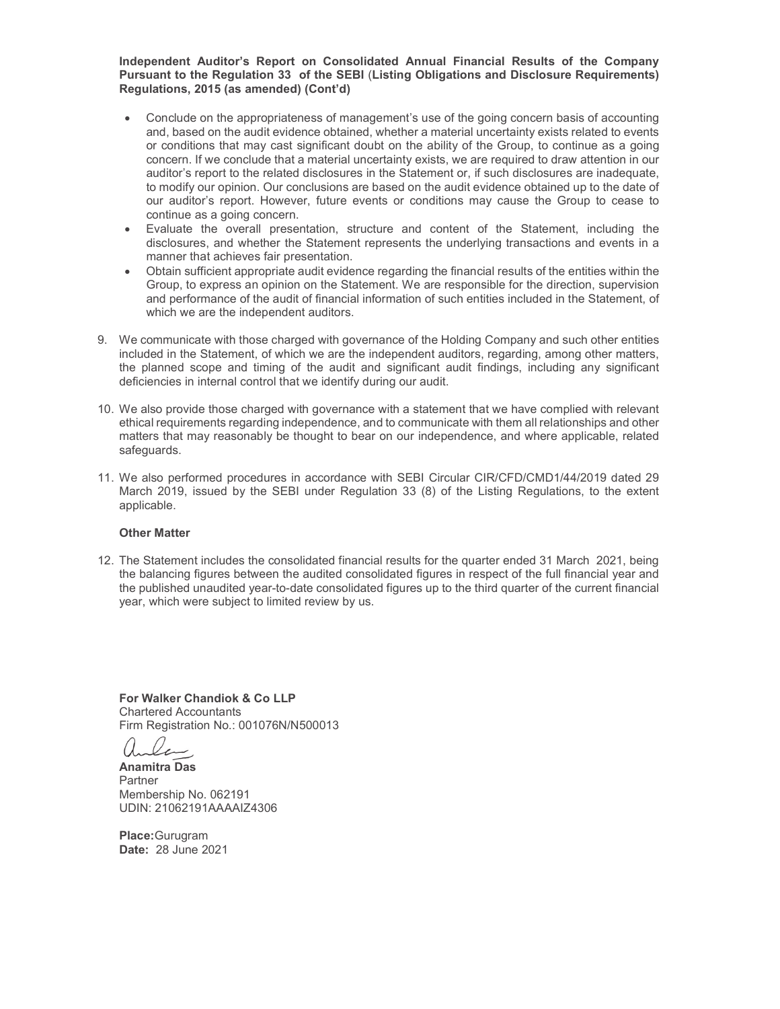Independent Auditor's Report on Consolidated Annual Financial Results of the Company Pursuant to the Regulation 33 of the SEBI (Listing Obligations and Disclosure Requirements) Regulations, 2015 (as amended) (Cont'd)

- · Conclude on the appropriateness of management's use of the going concern basis of accounting and, based on the audit evidence obtained, whether a material uncertainty exists related to events or conditions that may cast significant doubt on the ability of the Group, to continue as a going concern. If we conclude that a material uncertainty exists, we are required to draw attention in our auditor's report to the related disclosures in the Statement or, if such disclosures are inadequate, to modify our opinion. Our conclusions are based on the audit evidence obtained up to the date of our auditor's report. However, future events or conditions may cause the Group to cease to continue as a going concern.
- · Evaluate the overall presentation, structure and content of the Statement, including the disclosures, and whether the Statement represents the underlying transactions and events in a manner that achieves fair presentation.
- · Obtain sufficient appropriate audit evidence regarding the financial results of the entities within the Group, to express an opinion on the Statement. We are responsible for the direction, supervision and performance of the audit of financial information of such entities included in the Statement, of which we are the independent auditors.
- 9. We communicate with those charged with governance of the Holding Company and such other entities included in the Statement, of which we are the independent auditors, regarding, among other matters, the planned scope and timing of the audit and significant audit findings, including any significant deficiencies in internal control that we identify during our audit.
- 10. We also provide those charged with governance with a statement that we have complied with relevant ethical requirements regarding independence, and to communicate with them all relationships and other matters that may reasonably be thought to bear on our independence, and where applicable, related safeguards.
- 11. We also performed procedures in accordance with SEBI Circular CIR/CFD/CMD1/44/2019 dated 29 March 2019, issued by the SEBI under Regulation 33 (8) of the Listing Regulations, to the extent applicable.

#### Other Matter

12. The Statement includes the consolidated financial results for the quarter ended 31 March 2021, being the balancing figures between the audited consolidated figures in respect of the full financial year and the published unaudited year-to-date consolidated figures up to the third quarter of the current financial year, which were subject to limited review by us.

For Walker Chandiok & Co LLP Chartered Accountants Firm Registration No.: 001076N/N500013

Anamitra Das Partner Membership No. 062191 UDIN: 21062191AAAAIZ4306

Place:Gurugram Date: 28 June 2021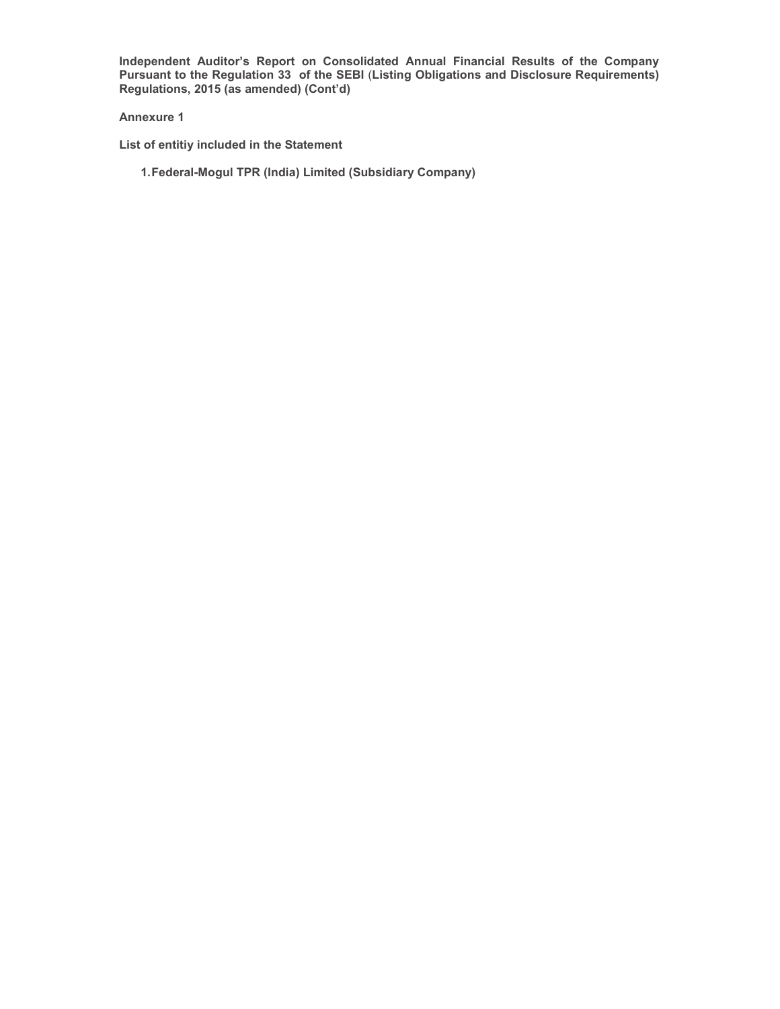Independent Auditor's Report on Consolidated Annual Financial Results of the Company Pursuant to the Regulation 33 of the SEBI (Listing Obligations and Disclosure Requirements) Regulations, 2015 (as amended) (Cont'd)

#### Annexure 1

- List of entitiy included in the Statement
	- 1. Federal-Mogul TPR (India) Limited (Subsidiary Company)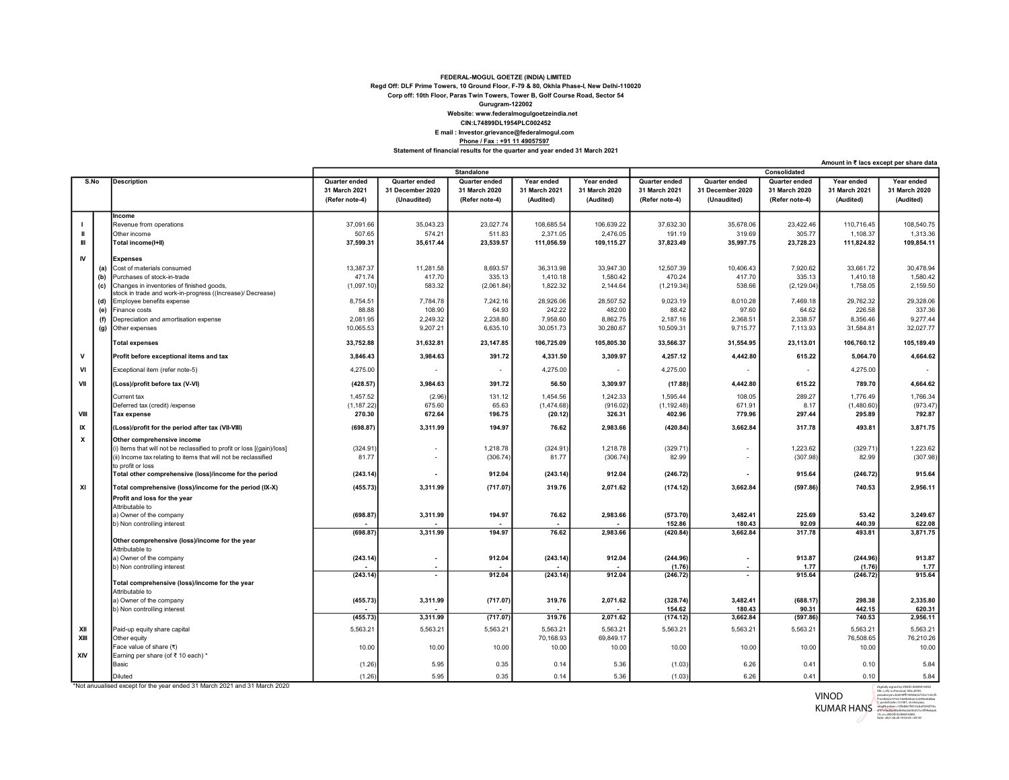#### FEDERAL-MOGUL GOETZE (INDIA) LIMITED CIN:L74899DL1954PLC002452 Website: www.federalmogulgoetzeindia.net Gurugram-122002 Corp off: 10th Floor, Paras Twin Towers, Tower B, Golf Course Road, Sector 54 Regd Off: DLF Prime Towers, 10 Ground Floor, F-79 & 80, Okhla Phase-I, New Delhi-110020

### E mail : Investor.grievance@federalmogul.com Phone / Fax : +91 11 49057597

Statement of financial results for the quarter and year ended 31 March 2021

|           |      | <b>Standalone</b>                                                       |                |                  |                | Consolidated  |               |                    |                          |                |               |               |
|-----------|------|-------------------------------------------------------------------------|----------------|------------------|----------------|---------------|---------------|--------------------|--------------------------|----------------|---------------|---------------|
|           | S.No | <b>Description</b>                                                      | Quarter ended  | Quarter ended    | Quarter ended  | Year ended    | Year ended    | Quarter ended      | Quarter ended            | Quarter ended  | Year ended    | Year ended    |
|           |      |                                                                         | 31 March 2021  | 31 December 2020 | 31 March 2020  | 31 March 2021 | 31 March 2020 | 31 March 2021      | 31 December 2020         | 31 March 2020  | 31 March 2021 | 31 March 2020 |
|           |      |                                                                         | (Refer note-4) | (Unaudited)      | (Refer note-4) | (Audited)     | (Audited)     | (Refer note-4)     | (Unaudited)              | (Refer note-4) | (Audited)     | (Audited)     |
|           |      | Income                                                                  |                |                  |                |               |               |                    |                          |                |               |               |
|           |      | Revenue from operations                                                 | 37,091.66      | 35,043.23        | 23,027.74      | 108,685.54    | 106,639.22    | 37,632.30          | 35,678.06                | 23,422.46      | 110,716.45    | 108,540.75    |
| ш         |      | Other income                                                            | 507.65         | 574.21           | 511.83         | 2,371.05      | 2,476.05      | 191.19             | 319.69                   | 305.77         | 1,108.37      | 1,313.36      |
| H         |      | Total income(I+II)                                                      | 37,599.31      | 35,617.44        | 23,539.57      | 111,056.59    | 109,115.27    | 37,823.49          | 35,997.75                | 23,728.23      | 111,824.82    | 109,854.11    |
|           |      |                                                                         |                |                  |                |               |               |                    |                          |                |               |               |
| <b>IV</b> |      | <b>Expenses</b>                                                         |                |                  |                |               |               |                    |                          |                |               |               |
|           | (a)  | Cost of materials consumed                                              | 13,387.37      | 11,281.58        | 8,693.57       | 36,313.98     | 33,947.30     | 12,507.39          | 10,406.43                | 7,920.62       | 33,661.72     | 30,478.94     |
|           | (b)  | Purchases of stock-in-trade                                             | 471.74         | 417.70           | 335.13         | 1,410.18      | 1,580.42      | 470.24             | 417.70                   | 335.13         | 1,410.18      | 1,580.42      |
|           | (c)  | Changes in inventories of finished goods,                               | (1,097.10      | 583.32           | (2,061.84)     | 1,822.32      | 2,144.64      | (1,219.34)         | 538.66                   | (2, 129.04)    | 1,758.05      | 2,159.50      |
|           |      | stock in trade and work-in-progress ((Increase)/ Decrease)              |                |                  |                |               |               |                    |                          |                |               |               |
|           | (d)  | Employee benefits expense                                               | 8,754.51       | 7,784.78         | 7,242.16       | 28,926.06     | 28,507.52     | 9,023.19           | 8,010.28                 | 7,469.18       | 29,762.32     | 29,328.06     |
|           | (e)  | Finance costs                                                           | 88.88          | 108.90           | 64.93          | 242.22        | 482.00        | 88.42              | 97.60                    | 64.62          | 226.58        | 337.36        |
|           | (f)  | Depreciation and amortisation expense                                   | 2,081.95       | 2,249.32         | 2,238.80       | 7,958.60      | 8,862.75      | 2,187.16           | 2,368.51                 | 2,338.57       | 8,356.46      | 9,277.44      |
|           | (g)  | Other expenses                                                          | 10,065.53      | 9,207.21         | 6,635.10       | 30,051.73     | 30,280.67     | 10,509.31          | 9,715.77                 | 7,113.93       | 31,584.81     | 32,027.77     |
|           |      | <b>Total expenses</b>                                                   | 33,752.88      | 31,632.81        | 23,147.85      | 106,725.09    | 105,805.30    | 33,566.37          | 31,554.95                | 23,113.01      | 106,760.12    | 105,189.49    |
| ${\sf v}$ |      | Profit before exceptional items and tax                                 | 3,846.43       | 3,984.63         | 391.72         | 4,331.50      | 3,309.97      | 4,257.12           | 4,442.80                 | 615.22         | 5,064.70      | 4,664.62      |
| VI        |      | Exceptional item (refer note-5)                                         | 4,275.00       | $\sim$           | $\sim$         | 4,275.00      | $\sim$        | 4,275.00           |                          | $\blacksquare$ | 4,275.00      |               |
| VII       |      | (Loss)/profit before tax (V-VI)                                         | (428.57)       | 3,984.63         | 391.72         | 56.50         | 3,309.97      | (17.88)            | 4,442.80                 | 615.22         | 789.70        | 4,664.62      |
|           |      | Current tax                                                             | 1,457.52       | (2.96)           | 131.12         | 1,454.56      | 1,242.33      | 1,595.44           | 108.05                   | 289.27         | 1,776.49      | 1,766.34      |
|           |      | Deferred tax (credit) / expense                                         | (1, 187.22)    | 675.60           | 65.63          | (1,474.68)    | (916.02)      | (1, 192.48)        | 671.91                   | 8.17           | (1,480.60)    | (973.47)      |
| VIII      |      | <b>Tax expense</b>                                                      | 270.30         | 672.64           | 196.75         | (20.12)       | 326.31        | 402.96             | 779.96                   | 297.44         | 295.89        | 792.87        |
| IX        |      | (Loss)/profit for the period after tax (VII-VIII)                       | (698.87)       | 3,311.99         | 194.97         | 76.62         | 2,983.66      | (420.84)           | 3,662.84                 | 317.78         | 493.81        | 3,871.75      |
| x         |      | Other comprehensive income                                              |                |                  |                |               |               |                    |                          |                |               |               |
|           |      | (i) Items that will not be reclassified to profit or loss [(gain)/loss] | (324.91)       |                  | 1,218.78       | (324.91)      | 1,218.78      | (329.71            |                          | 1,223.62       | (329.71)      | 1,223.62      |
|           |      | (ii) Income tax relating to items that will not be reclassified         | 81.77          |                  | (306.74)       | 81.77         | (306.74)      | 82.99              |                          | (307.98)       | 82.99         | (307.98)      |
|           |      | to profit or loss                                                       |                |                  |                |               |               |                    |                          |                |               |               |
|           |      | Total other comprehensive (loss)/income for the period                  | (243.14)       | $\sim$           | 912.04         | (243.14)      | 912.04        | (246.72)           |                          | 915.64         | (246.72)      | 915.64        |
|           |      |                                                                         |                |                  |                |               |               |                    |                          |                |               |               |
| XI        |      | Total comprehensive (loss)/income for the period (IX-X)                 | (455.73)       | 3,311.99         | (717.07)       | 319.76        | 2,071.62      | (174.12)           | 3,662.84                 | (597.86)       | 740.53        | 2,956.11      |
|           |      | Profit and loss for the year                                            |                |                  |                |               |               |                    |                          |                |               |               |
|           |      | Attributable to                                                         |                |                  |                |               | 2,983.66      |                    |                          | 225.69         | 53.42         | 3,249.67      |
|           |      | a) Owner of the company<br>b) Non controlling interest                  | (698.87)       | 3,311.99         | 194.97         | 76.62         |               | (573.70)<br>152.86 | 3,482.41<br>180.43       | 92.09          | 440.39        | 622.08        |
|           |      |                                                                         | (698.87)       | 3,311.99         | 194.97         | 76.62         | 2,983.66      | (420.84)           | 3,662.84                 | 317.78         | 493.81        | 3,871.75      |
|           |      | Other comprehensive (loss)/income for the year                          |                |                  |                |               |               |                    |                          |                |               |               |
|           |      | Attributable to                                                         |                |                  |                |               |               |                    |                          |                |               |               |
|           |      | a) Owner of the company                                                 | (243.14)       |                  | 912.04         | (243.14)      | 912.04        | (244.96)           |                          | 913.87         | (244.96)      | 913.87        |
|           |      | b) Non controlling interest                                             |                |                  |                |               |               | (1.76)             |                          | 1.77           | (1.76)        | 1.77          |
|           |      |                                                                         | (243.14)       |                  | 912.04         | (243.14)      | 912.04        | (246.72)           | $\overline{\phantom{a}}$ | 915.64         | (246.72)      | 915.64        |
|           |      | Total comprehensive (loss)/income for the year                          |                |                  |                |               |               |                    |                          |                |               |               |
|           |      | Attributable to                                                         |                |                  |                |               |               |                    |                          |                |               |               |
|           |      | a) Owner of the company                                                 | (455.73)       | 3,311.99         | (717.07)       | 319.76        | 2,071.62      | (328.74)           | 3,482.41                 | (688.17)       | 298.38        | 2,335.80      |
|           |      | b) Non controlling interest                                             |                |                  |                |               |               | 154.62             | 180.43                   | 90.31          | 442.15        | 620.31        |
|           |      |                                                                         | (455.73)       | 3,311.99         | (717.07)       | 319.76        | 2,071.62      | (174.12)           | 3,662.84                 | (597.86)       | 740.53        | 2,956.11      |
| XII       |      | Paid-up equity share capital                                            | 5,563.21       | 5,563.21         | 5,563.21       | 5,563.21      | 5,563.21      | 5,563.21           | 5,563.21                 | 5,563.21       | 5,563.21      | 5,563.21      |
| XIII      |      | Other equity                                                            |                |                  |                | 70,168.93     | 69,849.17     |                    |                          |                | 76,508.65     | 76,210.26     |
|           |      | Face value of share (₹)                                                 | 10.00          | 10.00            | 10.00          | 10.00         | 10.00         | 10.00              | 10.00                    | 10.00          | 10.00         | 10.00         |
| XIV       |      | Earning per share (of ₹ 10 each) *                                      |                |                  |                |               |               |                    |                          |                |               |               |
|           |      | Basic                                                                   | (1.26)         | 5.95             | 0.35           | 0.14          | 5.36          | (1.03)             | 6.26                     | 0.41           | 0.10          | 5.84          |
|           |      | Diluted                                                                 | (1.26)         | 5.95             | 0.35           | 0.14          | 5.36          | (1.03)             | 6.26                     | 0.41           | 0.10          | 5.84          |

\*Not anuualised except for the year ended 31 March 2021 and 31 March 2020

Digitally signed by VINOD KUMAR HANS DN: c=IN, o=Personal, title=8709,

serialNumber=13f0d8e7f0010cbef5292f74a

VINOD KUMAR HANS pseudonym=b0259fff14458dc6753a11e3cf5 f1ec0b62a1913e14e4b04a3c3c649ee0d8aa 7, postalCode=121001, st=Haryana,

af47edac8bd4bd636a2a036257cc4f99a6aa6 19, cn=VINOD KUMAR HANS

Amount in ₹ lacs except per share data

Date: 2021.06.28 19:50:54 +05'30'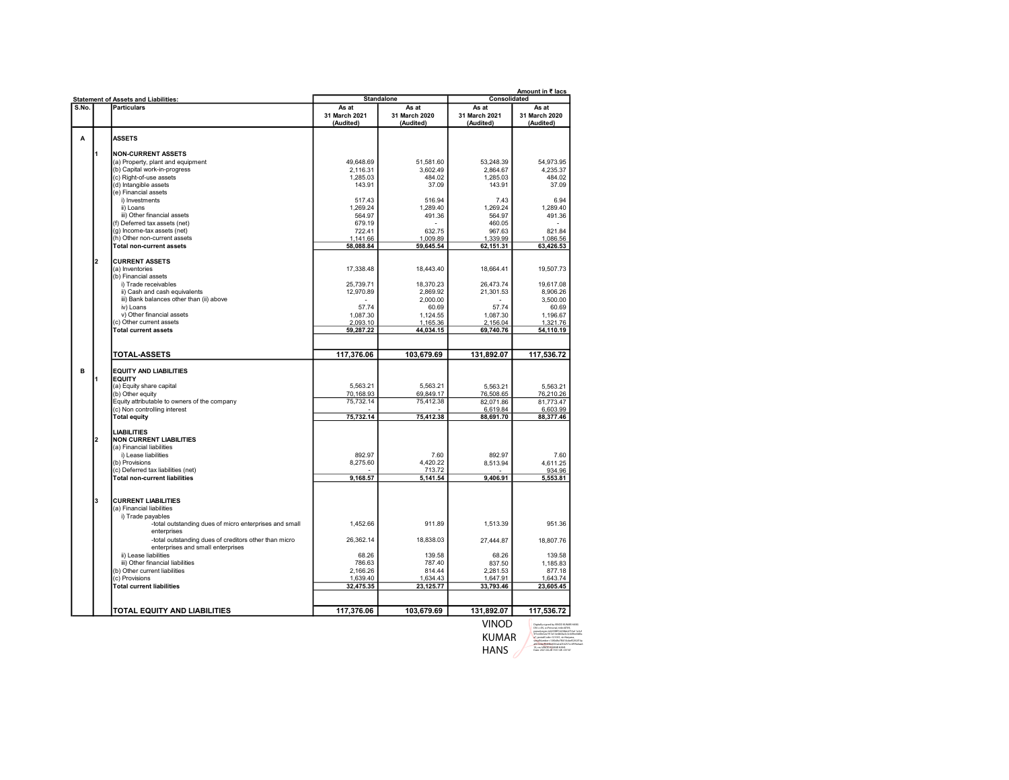|       | <b>Statement of Assets and Liabilities:</b>                          |                            | <b>Standalone</b>          | Amount in ₹ lacs<br>Consolidated |                            |  |
|-------|----------------------------------------------------------------------|----------------------------|----------------------------|----------------------------------|----------------------------|--|
| S.No. | <b>Particulars</b>                                                   | As at                      | As at                      | As at                            | As at                      |  |
|       |                                                                      | 31 March 2021<br>(Audited) | 31 March 2020<br>(Audited) | 31 March 2021<br>(Audited)       | 31 March 2020<br>(Audited) |  |
| Α     | <b>ASSETS</b>                                                        |                            |                            |                                  |                            |  |
| I1    | <b>NON-CURRENT ASSETS</b>                                            |                            |                            |                                  |                            |  |
|       | (a) Property, plant and equipment                                    | 49,648.69                  | 51,581.60                  | 53,248.39                        | 54,973.95                  |  |
|       | (b) Capital work-in-progress                                         | 2.116.31                   | 3.602.49                   | 2.864.67                         | 4.235.37                   |  |
|       | (c) Right-of-use assets                                              | 1,285.03                   | 484.02                     | 1.285.03                         | 484.02                     |  |
|       | (d) Intangible assets                                                | 143.91                     | 37.09                      | 143.91                           | 37.09                      |  |
|       | (e) Financial assets                                                 |                            |                            |                                  |                            |  |
|       | i) Investments                                                       | 517.43                     | 516.94                     | 7.43                             | 6.94                       |  |
|       | ii) Loans                                                            | 1.269.24                   | 1.289.40                   | 1.269.24                         | 1.289.40                   |  |
|       | iii) Other financial assets                                          | 564.97                     | 491.36                     | 564.97                           | 491.36                     |  |
|       | (f) Deferred tax assets (net)                                        | 679.19                     |                            | 460.05                           |                            |  |
|       | (g) Income-tax assets (net)                                          | 722.41                     | 632.75                     | 967.63                           | 821.84                     |  |
|       | (h) Other non-current assets                                         | 1,141.66                   | 1,009.89                   | 1,339.99                         | 1,086.56                   |  |
|       | <b>Total non-current assets</b>                                      | 58,088.84                  | 59,645.54                  | 62,151.31                        | 63,426.53                  |  |
| l2    | <b>CURRENT ASSETS</b>                                                |                            |                            |                                  |                            |  |
|       | (a) Inventories                                                      | 17.338.48                  | 18.443.40                  | 18.664.41                        | 19.507.73                  |  |
|       | (b) Financial assets                                                 |                            |                            |                                  |                            |  |
|       | i) Trade receivables                                                 | 25,739.71                  | 18,370.23                  | 26,473.74                        | 19,617.08                  |  |
|       | ii) Cash and cash equivalents                                        | 12,970.89                  | 2.869.92                   | 21,301.53                        | 8,906.26                   |  |
|       | iii) Bank balances other than (ii) above                             |                            | 2.000.00                   |                                  | 3.500.00                   |  |
|       | iv) Loans                                                            | 57.74                      | 60.69                      | 57.74                            | 60.69                      |  |
|       | v) Other financial assets                                            | 1,087.30                   | 1,124.55                   | 1,087.30                         | 1,196.67                   |  |
|       | (c) Other current assets                                             | 2,093.10                   | 1,165.36                   | 2,156.04                         | 1,321.76                   |  |
|       | Total current assets                                                 | 59,287.22                  | 44,034.15                  | 69,740.76                        | 54,110.19                  |  |
|       |                                                                      |                            |                            |                                  |                            |  |
|       | <b>TOTAL ASSETS</b>                                                  | 117,376.06                 | 103,679.69                 | 131,892.07                       | 117,536.72                 |  |
| B     | <b>EQUITY AND LIABILITIES</b>                                        |                            |                            |                                  |                            |  |
| 1     | <b>EQUITY</b>                                                        |                            |                            |                                  |                            |  |
|       | (a) Equity share capital                                             | 5,563.21                   | 5,563.21                   | 5,563.21                         | 5,563.21                   |  |
|       | (b) Other equity                                                     | 70,168.93                  | 69,849.17                  | 76,508.65                        | 76,210.26                  |  |
|       | Equity attributable to owners of the company                         | 75,732.14                  | 75,412.38                  | 82,071.86                        | 81,773.47                  |  |
|       | (c) Non controlling interest                                         |                            |                            | 6,619.84                         | 6,603.99                   |  |
|       | <b>Total equity</b>                                                  | 75,732.14                  | 75,412.38                  | 88,691.70                        | 88,377.46                  |  |
|       | <b>LIABILITIES</b>                                                   |                            |                            |                                  |                            |  |
| 2     | <b>NON CURRENT LIABILITIES</b>                                       |                            |                            |                                  |                            |  |
|       | (a) Financial liabilities                                            |                            |                            |                                  |                            |  |
|       | i) Lease liabilities                                                 | 892.97                     | 7.60                       | 892.97                           | 7.60                       |  |
|       | (b) Provisions                                                       | 8,275.60                   | 4.420.22                   | 8,513.94                         | 4.611.25                   |  |
|       | (c) Deferred tax liabilities (net)                                   |                            | 713.72                     |                                  | 934.96                     |  |
|       | Total non-current liabilities                                        | 9,168.57                   | 5,141.54                   | 9,406.91                         | 5,553.81                   |  |
| Iз    | <b>CURRENT LIABILITIES</b>                                           |                            |                            |                                  |                            |  |
|       | (a) Financial liabilities                                            |                            |                            |                                  |                            |  |
|       | i) Trade payables                                                    |                            |                            |                                  |                            |  |
|       | -total outstanding dues of micro enterprises and small               | 1,452.66                   | 911.89                     | 1,513.39                         | 951.36                     |  |
|       | enterprises<br>-total outstanding dues of creditors other than micro | 26,362.14                  | 18,838.03                  | 27,444.87                        | 18,807.76                  |  |
|       | enterprises and small enterprises                                    |                            |                            |                                  |                            |  |
|       | ii) Lease liabilities                                                | 68.26                      | 139.58                     | 68.26                            | 139.58                     |  |
|       | iii) Other financial liabilities                                     | 786.63                     | 787.40                     | 837.50                           | 1,185.83                   |  |
|       | (b) Other current liabilities                                        | 2.166.26                   | 814.44                     | 2.281.53                         | 877.18                     |  |
|       | (c) Provisions                                                       | 1,639.40                   | 1,634.43                   | 1,647.91                         | 1,643.74                   |  |
|       | Total current liabilities                                            | 32,475.35                  | 23,125.77                  | 33,793.46                        | 23,605.45                  |  |
|       |                                                                      |                            |                            |                                  |                            |  |
|       | TOTAL EQUITY AND LIABILITIES                                         | 117,376.06                 | 103,679.69                 | 131,892.07                       | 117,536.72                 |  |

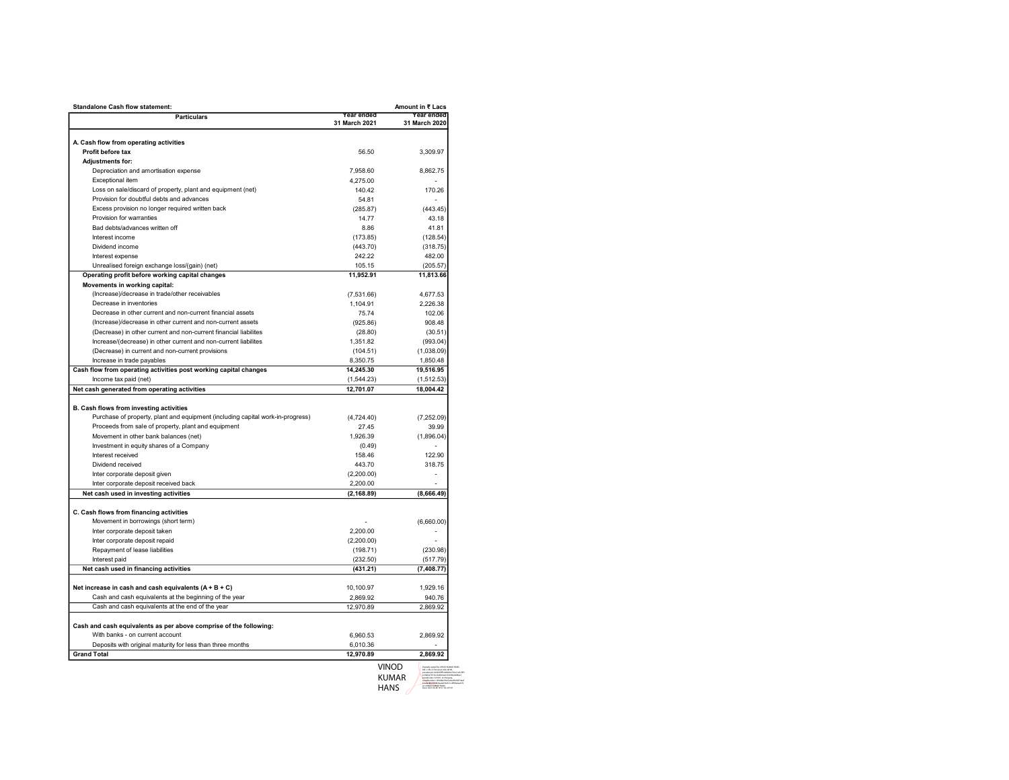| <b>Standalone Cash flow statement:</b>                                         |                             | Amount in ₹ Lacs            |
|--------------------------------------------------------------------------------|-----------------------------|-----------------------------|
| <b>Particulars</b>                                                             | Year ended<br>31 March 2021 | Year ended<br>31 March 2020 |
|                                                                                |                             |                             |
| A. Cash flow from operating activities                                         |                             |                             |
| Profit before tax                                                              | 56.50                       | 3.309.97                    |
| <b>Adjustments for:</b>                                                        |                             |                             |
| Depreciation and amortisation expense                                          | 7,958.60                    | 8,862.75                    |
| Exceptional item                                                               | 4,275.00                    |                             |
| Loss on sale/discard of property, plant and equipment (net)                    | 140.42                      | 170.26                      |
| Provision for doubtful debts and advances                                      | 54.81                       |                             |
| Excess provision no longer required written back                               | (285.87)                    | (443.45)                    |
| Provision for warranties                                                       | 14.77                       | 43.18                       |
| Bad debts/advances written off                                                 | 8.86                        | 41.81                       |
| Interest income                                                                | (173.85)                    | (128.54)                    |
| Dividend income                                                                | (443.70)                    | (318.75)                    |
| Interest expense                                                               | 242.22                      | 482.00                      |
| Unrealised foreign exchange loss/(gain) (net)                                  | 105.15                      | (205.57)                    |
| Operating profit before working capital changes                                | 11,952.91                   | 11,813.66                   |
| Movements in working capital:                                                  |                             |                             |
| (Increase)/decrease in trade/other receivables                                 | (7,531.66)                  | 4,677.53                    |
| Decrease in inventories                                                        | 1,104.91                    | 2,226.38                    |
| Decrease in other current and non-current financial assets                     | 75.74                       | 102.06                      |
| (Increase)/decrease in other current and non-current assets                    | (925.86)                    | 908.48                      |
| (Decrease) in other current and non-current financial liabilites               | (28.80)                     | (30.51)                     |
| Increase/(decrease) in other current and non-current liabilites                | 1,351.82                    | (993.04)                    |
|                                                                                |                             |                             |
| (Decrease) in current and non-current provisions<br>Increase in trade payables | (104.51)                    | (1,038.09)                  |
|                                                                                | 8,350.75                    | 1,850.48                    |
| Cash flow from operating activities post working capital changes               | 14,245.30                   | 19,516.95                   |
| Income tax paid (net)                                                          | (1,544.23)                  | (1,512.53)                  |
| Net cash generated from operating activities                                   | 12,701.07                   | 18,004.42                   |
|                                                                                |                             |                             |
| B. Cash flows from investing activities                                        |                             |                             |
| Purchase of property, plant and equipment (including capital work-in-progress) | (4,724.40)                  | (7,252.09)                  |
| Proceeds from sale of property, plant and equipment                            | 27.45                       | 39.99                       |
| Movement in other bank balances (net)                                          | 1,926.39                    | (1,896.04)                  |
| Investment in equity shares of a Company                                       | (0.49)                      |                             |
| Interest received                                                              | 158.46                      | 122.90                      |
| Dividend received                                                              | 443.70                      | 318.75                      |
| Inter corporate deposit given                                                  | (2,200.00)                  |                             |
| Inter corporate deposit received back                                          | 2,200.00                    |                             |
| Net cash used in investing activities                                          | (2, 168.89)                 | (8,666.49)                  |
|                                                                                |                             |                             |
| C. Cash flows from financing activities                                        |                             |                             |
| Movement in borrowings (short term)                                            |                             | (6,660.00)                  |
| Inter corporate deposit taken                                                  | 2.200.00                    |                             |
| Inter corporate deposit repaid                                                 | (2,200.00)                  |                             |
| Repayment of lease liabilities                                                 | (198.71)                    | (230.98)                    |
| Interest paid                                                                  | (232.50)                    | (517.79)                    |
| Net cash used in financing activities                                          | (431.21)                    | (7, 408.77)                 |
|                                                                                |                             |                             |
| Net increase in cash and cash equivalents $(A + B + C)$                        | 10,100.97                   | 1.929.16                    |
| Cash and cash equivalents at the beginning of the year                         | 2,869.92                    | 940.76                      |
| Cash and cash equivalents at the end of the year                               | 12,970.89                   | 2,869.92                    |
|                                                                                |                             |                             |
| Cash and cash equivalents as per above comprise of the following:              |                             |                             |
| With banks - on current account                                                | 6,960.53                    | 2.869.92                    |
| Deposits with original maturity for less than three months                     | 6,010.36                    |                             |
| <b>Grand Total</b>                                                             | 12,970.89                   | 2,869.92                    |
|                                                                                |                             |                             |
|                                                                                |                             |                             |
|                                                                                | <b>VINOD</b>                | <b>KUMAR</b>                |

HANS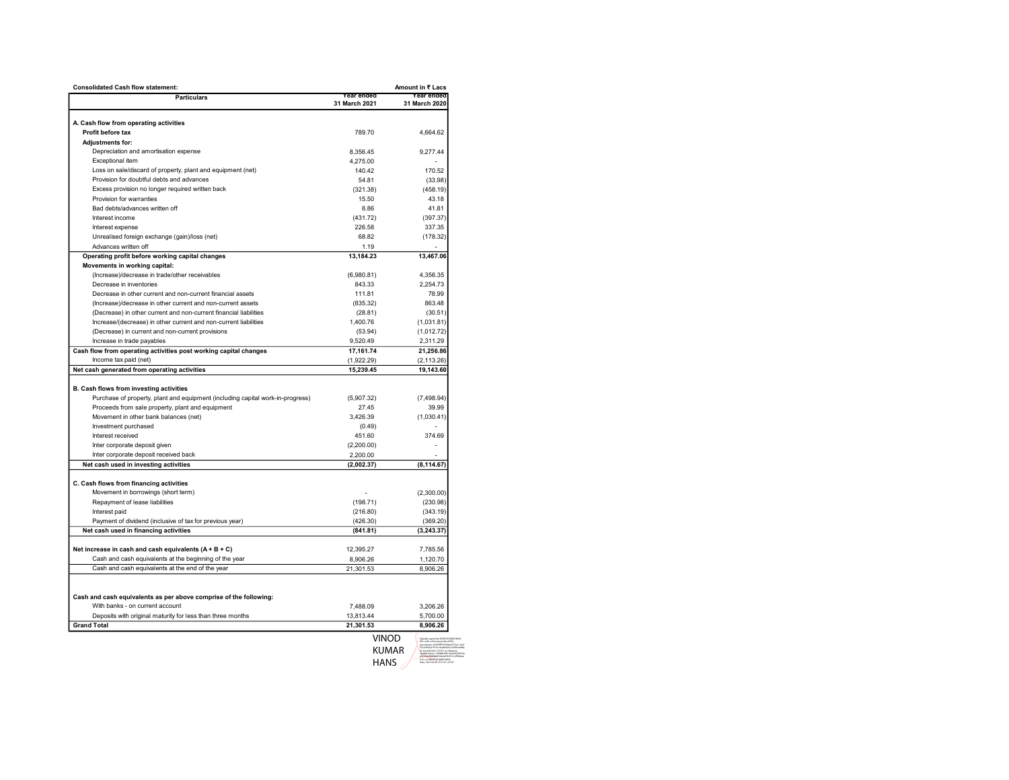| <b>Consolidated Cash flow statement:</b><br>Amount in ₹ Lacs                                                      |                         |                          |  |  |
|-------------------------------------------------------------------------------------------------------------------|-------------------------|--------------------------|--|--|
| <b>Particulars</b>                                                                                                | Year ended              | Year ended               |  |  |
|                                                                                                                   | 31 March 2021           | 31 March 2020            |  |  |
|                                                                                                                   |                         |                          |  |  |
| A. Cash flow from operating activities<br>Profit before tax                                                       | 789.70                  |                          |  |  |
|                                                                                                                   |                         | 4,664.62                 |  |  |
| Adjustments for:                                                                                                  |                         |                          |  |  |
| Depreciation and amortisation expense                                                                             | 8,356.45                | 9,277.44                 |  |  |
| Exceptional item                                                                                                  | 4,275.00                |                          |  |  |
| Loss on sale/discard of property, plant and equipment (net)<br>Provision for doubtful debts and advances          | 140.42<br>54.81         | 170.52<br>(33.98)        |  |  |
| Excess provision no longer required written back                                                                  | (321.38)                | (458.19)                 |  |  |
| Provision for warranties                                                                                          | 15.50                   | 43.18                    |  |  |
| Bad debts/advances written off                                                                                    | 8.86                    | 41.81                    |  |  |
| Interest income                                                                                                   | (431.72)                | (397.37)                 |  |  |
| Interest expense                                                                                                  | 226.58                  | 337.35                   |  |  |
| Unrealised foreign exchange (gain)/loss (net)                                                                     | 68.82                   | (178.32)                 |  |  |
| Advances written off                                                                                              | 1.19                    |                          |  |  |
| Operating profit before working capital changes                                                                   | 13,184.23               | 13,467.06                |  |  |
| Movements in working capital:                                                                                     |                         |                          |  |  |
| (Increase)/decrease in trade/other receivables                                                                    | (6,980.81)              | 4,356.35                 |  |  |
| Decrease in inventories                                                                                           | 843.33                  | 2,254.73                 |  |  |
| Decrease in other current and non-current financial assets                                                        | 111.81                  | 78.99                    |  |  |
| (Increase)/decrease in other current and non-current assets                                                       | (835.32)                | 863.48                   |  |  |
|                                                                                                                   |                         | (30.51)                  |  |  |
| (Decrease) in other current and non-current financial liabilities                                                 | (28.81)                 | (1,031.81)               |  |  |
| Increase/(decrease) in other current and non-current liabilities                                                  | 1,400.76                |                          |  |  |
| (Decrease) in current and non-current provisions<br>Increase in trade payables                                    | (53.94)<br>9,520.49     | (1,012.72)<br>2,311.29   |  |  |
|                                                                                                                   | 17,161.74               | 21,256.86                |  |  |
| Cash flow from operating activities post working capital changes<br>Income tax paid (net)                         |                         |                          |  |  |
| Net cash generated from operating activities                                                                      | (1,922.29)<br>15,239.45 | (2, 113.26)<br>19,143.60 |  |  |
|                                                                                                                   |                         |                          |  |  |
| B. Cash flows from investing activities                                                                           |                         |                          |  |  |
| Purchase of property, plant and equipment (including capital work-in-progress)                                    | (5,907.32)              | (7, 498.94)              |  |  |
| Proceeds from sale property, plant and equipment                                                                  | 27.45                   | 39.99                    |  |  |
| Movement in other bank balances (net)                                                                             | 3.426.39                | (1,030.41)               |  |  |
| Investment purchased                                                                                              | (0.49)                  |                          |  |  |
| Interest received                                                                                                 | 451.60                  | 374.69                   |  |  |
| Inter corporate deposit given                                                                                     |                         |                          |  |  |
| Inter corporate deposit received back                                                                             | (2,200.00)<br>2,200.00  |                          |  |  |
| Net cash used in investing activities                                                                             | (2,002.37)              | (8, 114.67)              |  |  |
|                                                                                                                   |                         |                          |  |  |
| C. Cash flows from financing activities                                                                           |                         |                          |  |  |
| Movement in borrowings (short term)                                                                               |                         | (2,300.00)               |  |  |
| Repayment of lease liabilities                                                                                    | (198.71)                | (230.98)                 |  |  |
| Interest paid                                                                                                     | (216.80)                | (343.19)                 |  |  |
| Payment of dividend (inclusive of tax for previous year)                                                          | (426.30)                | (369.20)                 |  |  |
| Net cash used in financing activities                                                                             | (841.81)                | (3, 243.37)              |  |  |
|                                                                                                                   |                         |                          |  |  |
|                                                                                                                   |                         | 7,785.56                 |  |  |
| Net increase in cash and cash equivalents $(A + B + C)$<br>Cash and cash equivalents at the beginning of the year | 12,395.27<br>8,906.26   | 1,120.70                 |  |  |
|                                                                                                                   |                         |                          |  |  |
| Cash and cash equivalents at the end of the year                                                                  | 21,301.53               | 8,906.26                 |  |  |
|                                                                                                                   |                         |                          |  |  |
| Cash and cash equivalents as per above comprise of the following:                                                 |                         |                          |  |  |
| With banks - on current account                                                                                   | 7.488.09                | 3,206.26                 |  |  |
| Deposits with original maturity for less than three months                                                        | 13,813.44               | 5,700.00                 |  |  |
| <b>Grand Total</b>                                                                                                | 21,301.53               | 8,906.26                 |  |  |
|                                                                                                                   |                         |                          |  |  |
|                                                                                                                   | Vinod                   |                          |  |  |
|                                                                                                                   |                         |                          |  |  |

KUMAR HANS Digitally signed by VINOD KUMAR HANS DN: c=IN, o=Personal, title=8709, pseudonym=b0259fff14458dc6753a11e3cf 5f1ec0b62a1913e14e4b04a3c3c649ee0d8a a7, postalCode=121001, st=Haryana, serialNumber=13f0d8e7f0010cbef5292f74a af47edac8bd4bd636a2a036257cc4f99a6aa 619, cn=VINOD KUMAR HANS Date: 2021.06.28 19:51:29 +05'30'